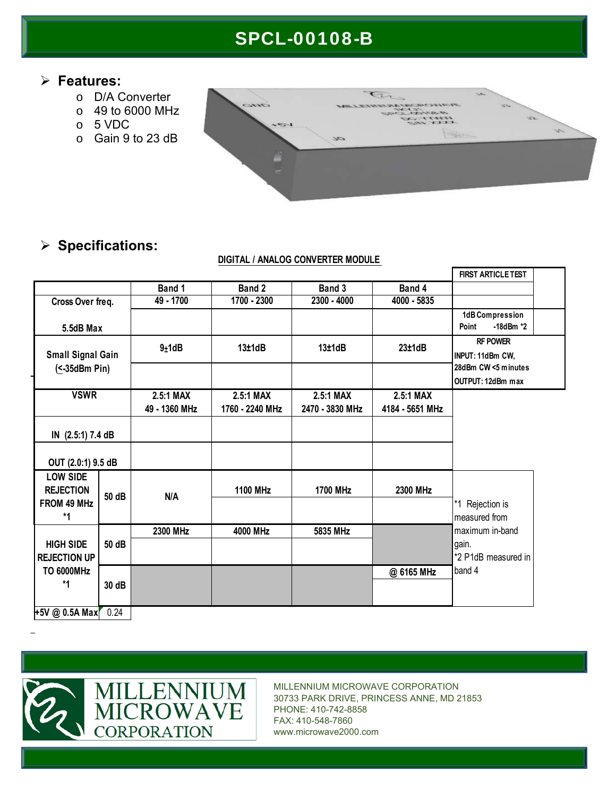# SPCL-00108-B

### **Features:**

- o D/A Converter
- o 49 to 6000 MHz
- o 5 VDC
- o Gain 9 to 23 dB



## **Specifications:**

#### **DIGITAL / ANALOG CONVERTER MODULE**

|                                                                    |       |               |                 |                 |                 | <b>FIRST ARTICLE TEST</b>                  |
|--------------------------------------------------------------------|-------|---------------|-----------------|-----------------|-----------------|--------------------------------------------|
|                                                                    |       | Band 1        | Band 2          | Band 3          | Band 4          |                                            |
| Cross Over freq.                                                   |       | 49 - 1700     | 1700 - 2300     | $2300 - 4000$   | 4000 - 5835     |                                            |
| 5.5dB Max                                                          |       |               |                 |                 |                 | 1dB Compression<br>$-18$ dBm $*2$<br>Point |
| <b>Small Signal Gain</b><br>$($ < 35dBm Pin $)$                    |       | $9\pm1dB$     | 13±1dB          | 13±1dB          | 23±1dB          | <b>RF POWER</b><br>INPUT: 11dBm CW,        |
|                                                                    |       |               |                 |                 |                 | 28dBm CW <5 minutes                        |
|                                                                    |       |               |                 |                 |                 | OUTPUT: 12dBm max                          |
| <b>VSWR</b>                                                        |       | 2.5:1 MAX     | 2.5:1 MAX       | 2.5:1 MAX       | 2.5:1 MAX       |                                            |
|                                                                    |       | 49 - 1360 MHz | 1760 - 2240 MHz | 2470 - 3830 MHz | 4184 - 5651 MHz |                                            |
| IN (2.5:1) 7.4 dB                                                  |       |               |                 |                 |                 |                                            |
| OUT (2.0:1) 9.5 dB                                                 |       |               |                 |                 |                 |                                            |
| <b>LOW SIDE</b><br><b>REJECTION</b><br>FROM 49 MHz<br>*1           | 50 dB | N/A           | <b>1100 MHz</b> | <b>1700 MHz</b> | 2300 MHz        | *1 Rejection is<br>measured from           |
|                                                                    |       |               |                 |                 |                 |                                            |
| <b>HIGH SIDE</b><br><b>REJECTION UP</b><br><b>TO 6000MHz</b><br>*1 |       | 2300 MHz      | 4000 MHz        | 5835 MHz        |                 | maximum in-band                            |
|                                                                    | 50 dB |               |                 |                 |                 | gain.<br>*2 P1dB measured in<br>band 4     |
|                                                                    | 30 dB |               |                 |                 | @ 6165 MHz      |                                            |
| +5V @ 0.5A Max                                                     | 0.24  |               |                 |                 |                 |                                            |





MILLENNIUM MICROWAVE CORPORATION 30733 PARK DRIVE, PRINCESS ANNE, MD 21853 PHONE: 410-742-8858 FAX: 410-548-7860 www.microwave2000.com